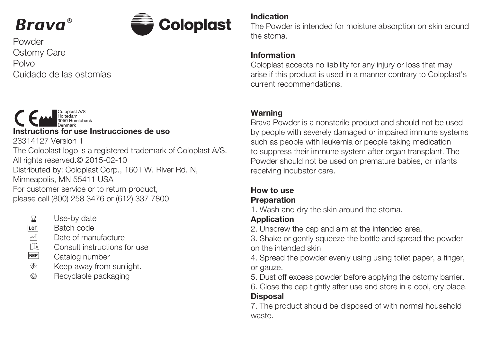



**Powder** Ostomy Care Polvo Cuidado de las ostomías



- Use-by date 暑
- LOT Batch code
- $\frac{1}{\sqrt{2}}$ Date of manufacture
- Consult instructions for use
- REF Catalog number
- 豢 Keep away from sunlight.
- $\partial b$ Recyclable packaging

#### Indication

The Powder is intended for moisture absorption on skin around the stoma.

### Information

Coloplast accepts no liability for any injury or loss that may arise if this product is used in a manner contrary to Coloplast's current recommendations.

## Warning

Brava Powder is a nonsterile product and should not be used by people with severely damaged or impaired immune systems such as people with leukemia or people taking medication to suppress their immune system after organ transplant. The Powder should not be used on premature babies, or infants receiving incubator care.

#### How to use Preparation

1. Wash and dry the skin around the stoma.

# Application

2. Unscrew the cap and aim at the intended area.

3. Shake or gently squeeze the bottle and spread the powder on the intended skin

4. Spread the powder evenly using using toilet paper, a finger, or gauze.

5. Dust off excess powder before applying the ostomy barrier.

6. Close the cap tightly after use and store in a cool, dry place. **Disposal** 

7. The product should be disposed of with normal household waste.